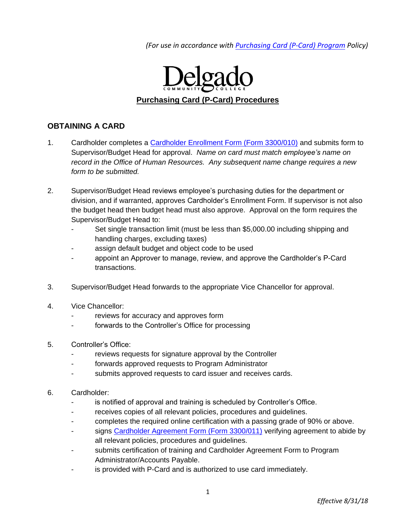*(For use in accordance wit[h Purchasing Card \(P-Card\) Program](http://docushare3.dcc.edu/docushare/dsweb/Get/Document-3785/3300-3+for+web+distribution.pdf) Policy)*



# **OBTAINING A CARD**

- 1. Cardholder completes a [Cardholder Enrollment Form \(Form 3300/010\)](http://docushare3.dcc.edu/docushare/dsweb/Get/Document-3776/3300-010+Purchasing+Card+Cardholder+Enrollment+Form.doc) and submits form to Supervisor/Budget Head for approval. *Name on card must match employee's name on record in the Office of Human Resources. Any subsequent name change requires a new form to be submitted.*
- 2. Supervisor/Budget Head reviews employee's purchasing duties for the department or division, and if warranted, approves Cardholder's Enrollment Form. If supervisor is not also the budget head then budget head must also approve. Approval on the form requires the Supervisor/Budget Head to:
	- Set single transaction limit (must be less than \$5,000.00 including shipping and handling charges, excluding taxes)
	- assign default budget and object code to be used
	- appoint an Approver to manage, review, and approve the Cardholder's P-Card transactions.
- 3. Supervisor/Budget Head forwards to the appropriate Vice Chancellor for approval.
- 4. Vice Chancellor:
	- reviews for accuracy and approves form
	- forwards to the Controller's Office for processing
- 5. Controller's Office:
	- reviews requests for signature approval by the Controller
	- forwards approved requests to Program Administrator
	- submits approved requests to card issuer and receives cards.
- 6. Cardholder:
	- is notified of approval and training is scheduled by Controller's Office.
	- receives copies of all relevant policies, procedures and guidelines.
	- completes the required online certification with a passing grade of 90% or above.
	- signs [Cardholder Agreement Form \(Form 3300/011\)](http://docushare3.dcc.edu/docushare/dsweb/Get/Document-3777/3300-011+Purchasing+Card+Cardholder+Agreement+Form.doc) verifying agreement to abide by all relevant policies, procedures and guidelines.
	- submits certification of training and Cardholder Agreement Form to Program Administrator/Accounts Payable.
	- is provided with P-Card and is authorized to use card immediately.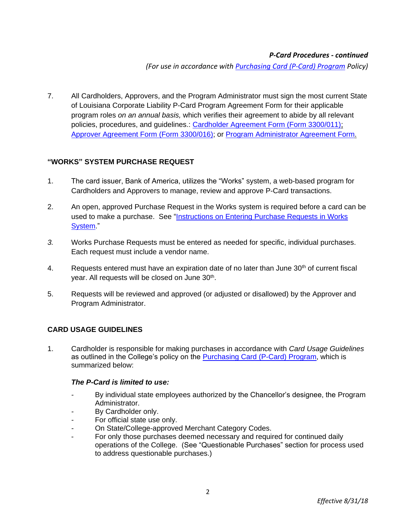*(For use in accordance wit[h Purchasing Card \(P-Card\) Program](http://docushare3.dcc.edu/docushare/dsweb/Get/Document-3785/3300-3+for+web+distribution.pdf) Policy)*

7. All Cardholders, Approvers, and the Program Administrator must sign the most current State of Louisiana Corporate Liability P-Card Program Agreement Form for their applicable program roles *on an annual basis,* which verifies their agreement to abide by all relevant policies, procedures, and guidelines.: [Cardholder Agreement Form \(Form 3300/011\);](http://docushare3.dcc.edu/docushare/dsweb/Get/Document-3777/3300-011+Purchasing+Card+Cardholder+Agreement+Form.doc) Approver [Agreement Form \(Form 3300/016\);](http://docushare3.dcc.edu/docushare/dsweb/Get/Document-7204/) or [Program Administrator Agreement Form.](https://www.doa.la.gov/osp/Travel/forms/pcard-adminagrmt.pdf)

# **"WORKS" SYSTEM PURCHASE REQUEST**

- 1. The card issuer, Bank of America, utilizes the "Works" system, a web-based program for Cardholders and Approvers to manage, review and approve P-Card transactions.
- 2. An open, approved Purchase Request in the Works system is required before a card can be used to make a purchase. See ["Instructions on Entering Purchase Requests in Works](http://docushare3.dcc.edu/docushare/dsweb/Get/Document-4130/3300-2+Purchasing+Card+Instructions+for+Entering+Purchase+Requisitions+in+WORKS+Program.pdf)  [System.](http://docushare3.dcc.edu/docushare/dsweb/Get/Document-4130/3300-2+Purchasing+Card+Instructions+for+Entering+Purchase+Requisitions+in+WORKS+Program.pdf)"
- *3.* Works Purchase Requests must be entered as needed for specific, individual purchases. Each request must include a vendor name.
- 4. Requests entered must have an expiration date of no later than June  $30<sup>th</sup>$  of current fiscal year. All requests will be closed on June 30<sup>th</sup>.
- 5. Requests will be reviewed and approved (or adjusted or disallowed) by the Approver and Program Administrator.

# **CARD USAGE GUIDELINES**

1. Cardholder is responsible for making purchases in accordance with *Card Usage Guidelines* as outlined in the College's policy on the [Purchasing Card \(P-Card\) Program,](http://docushare3.dcc.edu/docushare/dsweb/Get/Document-3785/3300-3+for+web+distribution.pdf) which is summarized below:

### *The P-Card is limited to use:*

- *-* By individual state employees authorized by the Chancellor's designee, the Program Administrator.
- *-* By Cardholder only.
- *-* For official state use only.
- *-* On State/College-approved Merchant Category Codes.
- For only those purchases deemed necessary and required for continued daily operations of the College. (See "Questionable Purchases" section for process used to address questionable purchases.)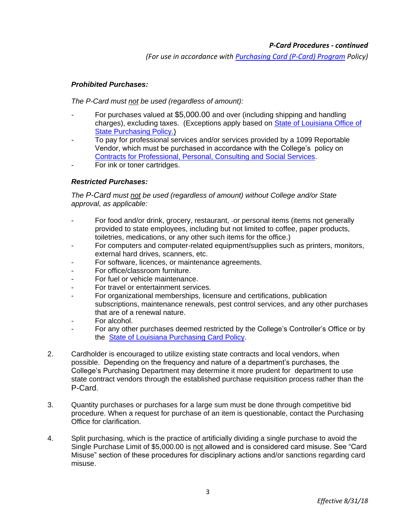*(For use in accordance wit[h Purchasing Card \(P-Card\) Program](http://docushare3.dcc.edu/docushare/dsweb/Get/Document-3785/3300-3+for+web+distribution.pdf) Policy)*

## *Prohibited Purchases:*

*The P-Card must not be used (regardless of amount):*

- *-* For purchases valued at \$5,000.00 and over (including shipping and handling charges), excluding taxes. (Exceptions apply based on [State of Louisiana Office of](http://www.doa.la.gov/Pages/osp/Index.aspx)  [State Purchasing Policy.\)](http://www.doa.la.gov/Pages/osp/Index.aspx)
- *-* To pay for professional services and/or services provided by a 1099 Reportable Vendor, which must be purchased in accordance with the College's policy on [Contracts for Professional, Personal, Consulting and Social Services.](http://docushare3.dcc.edu/docushare/dsweb/Get/Document-363/3311-1c.DOC)
- For ink or toner cartridges.

### *Restricted Purchases:*

*The P-Card must not be used (regardless of amount) without College and/or State approval, as applicable:*

- For food and/or drink, grocery, restaurant, or personal items (items not generally provided to state employees, including but not limited to coffee, paper products, toiletries, medications, or any other such items for the office.)
- For computers and computer-related equipment/supplies such as printers, monitors, external hard drives, scanners, etc.
- For software, licences, or maintenance agreements.
- For office/classroom furniture.
- For fuel or vehicle maintenance.
- For travel or entertainment services.
- For organizational memberships, licensure and certifications, publication subscriptions, maintenance renewals, pest control services, and any other purchases that are of a renewal nature.
- For alcohol.
- For any other purchases deemed restricted by the College's Controller's Office or by the [State of Louisiana Purchasing Card Policy.](http://www.doa.la.gov/Pages/osp/travel/lacartepcard.aspx)
- 2. Cardholder is encouraged to utilize existing state contracts and local vendors, when possible. Depending on the frequency and nature of a department's purchases, the College's Purchasing Department may determine it more prudent for department to use state contract vendors through the established purchase requisition process rather than the P-Card.
- 3. Quantity purchases or purchases for a large sum must be done through competitive bid procedure. When a request for purchase of an item is questionable, contact the Purchasing Office for clarification.
- 4. Split purchasing, which is the practice of artificially dividing a single purchase to avoid the Single Purchase Limit of \$5,000.00 is not allowed and is considered card misuse. See "Card Misuse" section of these procedures for disciplinary actions and/or sanctions regarding card misuse.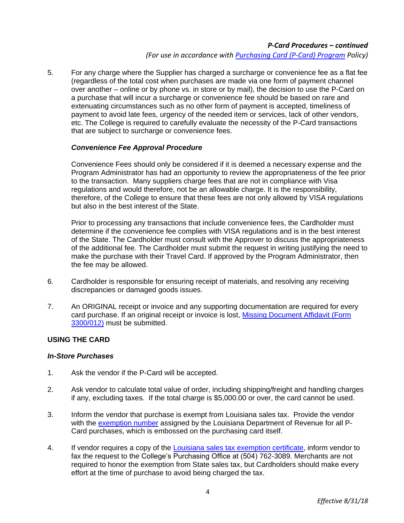*(For use in accordance wit[h Purchasing Card \(P-Card\) Program](http://docushare3.dcc.edu/docushare/dsweb/Get/Document-3785/3300-3+for+web+distribution.pdf) Policy)*

5. For any charge where the Supplier has charged a surcharge or convenience fee as a flat fee (regardless of the total cost when purchases are made via one form of payment channel over another – online or by phone vs. in store or by mail), the decision to use the P-Card on a purchase that will incur a surcharge or convenience fee should be based on rare and extenuating circumstances such as no other form of payment is accepted, timeliness of payment to avoid late fees, urgency of the needed item or services, lack of other vendors, etc. The College is required to carefully evaluate the necessity of the P-Card transactions that are subject to surcharge or convenience fees.

### *Convenience Fee Approval Procedure*

Convenience Fees should only be considered if it is deemed a necessary expense and the Program Administrator has had an opportunity to review the appropriateness of the fee prior to the transaction. Many suppliers charge fees that are not in compliance with Visa regulations and would therefore, not be an allowable charge. It is the responsibility, therefore, of the College to ensure that these fees are not only allowed by VISA regulations but also in the best interest of the State.

Prior to processing any transactions that include convenience fees, the Cardholder must determine if the convenience fee complies with VISA regulations and is in the best interest of the State. The Cardholder must consult with the Approver to discuss the appropriateness of the additional fee. The Cardholder must submit the request in writing justifying the need to make the purchase with their Travel Card. If approved by the Program Administrator, then the fee may be allowed.

- 6. Cardholder is responsible for ensuring receipt of materials, and resolving any receiving discrepancies or damaged goods issues.
- 7. An ORIGINAL receipt or invoice and any supporting documentation are required for every card purchase. If an original receipt or invoice is lost, [Missing Document Affidavit \(Form](http://docushare3.dcc.edu/docushare/dsweb/Get/Document-3778/3300-012+Purchasing+Card+Missing+Document+Affidavit+Form.doc)  [3300/012\)](http://docushare3.dcc.edu/docushare/dsweb/Get/Document-3778/3300-012+Purchasing+Card+Missing+Document+Affidavit+Form.doc) must be submitted.

### **USING THE CARD**

#### *In-Store Purchases*

- 1. Ask the vendor if the P-Card will be accepted.
- 2. Ask vendor to calculate total value of order, including shipping/freight and handling charges if any, excluding taxes. If the total charge is \$5,000.00 or over, the card cannot be used.
- 3. Inform the vendor that purchase is exempt from Louisiana sales tax. Provide the vendor with the [exemption number](http://docushare3.dcc.edu/docushare/dsweb/Get/Document-4048/3300+Purchasing+Card+-+State+Tax+Exemption+Certificate+Form.pdf) assigned by the Louisiana Department of Revenue for all P-Card purchases, which is embossed on the purchasing card itself.
- 4. If vendor requires a copy of the [Louisiana sales tax exemption certificate,](http://docushare3.dcc.edu/docushare/dsweb/Get/Document-4048/3300+Purchasing+Card+-+State+Tax+Exemption+Certificate+Form.pdf) inform vendor to fax the request to the College's Purchasing Office at (504) 762-3089. Merchants are not required to honor the exemption from State sales tax, but Cardholders should make every effort at the time of purchase to avoid being charged the tax.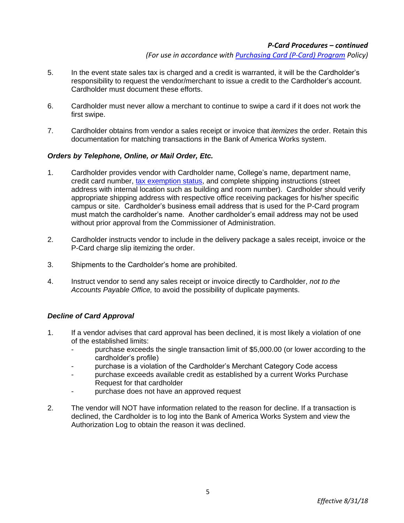*(For use in accordance wit[h Purchasing Card \(P-Card\) Program](http://docushare3.dcc.edu/docushare/dsweb/Get/Document-3785/3300-3+for+web+distribution.pdf) Policy)*

- 5. In the event state sales tax is charged and a credit is warranted, it will be the Cardholder's responsibility to request the vendor/merchant to issue a credit to the Cardholder's account. Cardholder must document these efforts.
- 6. Cardholder must never allow a merchant to continue to swipe a card if it does not work the first swipe.
- 7. Cardholder obtains from vendor a sales receipt or invoice that *itemizes* the order. Retain this documentation for matching transactions in the Bank of America Works system.

### *Orders by Telephone, Online, or Mail Order, Etc.*

- 1. Cardholder provides vendor with Cardholder name, College's name, department name, credit card number, [tax exemption status,](http://docushare3.dcc.edu/docushare/dsweb/Get/Document-4048/3300+Purchasing+Card+-+State+Tax+Exemption+Certificate+Form.pdf) and complete shipping instructions (street address with internal location such as building and room number). Cardholder should verify appropriate shipping address with respective office receiving packages for his/her specific campus or site. Cardholder's business email address that is used for the P-Card program must match the cardholder's name. Another cardholder's email address may not be used without prior approval from the Commissioner of Administration.
- 2. Cardholder instructs vendor to include in the delivery package a sales receipt, invoice or the P-Card charge slip itemizing the order.
- 3. Shipments to the Cardholder's home are prohibited.
- 4. Instruct vendor to send any sales receipt or invoice directly to Cardholder, *not to the Accounts Payable Office,* to avoid the possibility of duplicate payments.

### *Decline of Card Approval*

- 1. If a vendor advises that card approval has been declined, it is most likely a violation of one of the established limits:
	- purchase exceeds the single transaction limit of \$5,000.00 (or lower according to the cardholder's profile)
	- purchase is a violation of the Cardholder's Merchant Category Code access
	- purchase exceeds available credit as established by a current Works Purchase Request for that cardholder
	- purchase does not have an approved request
- 2. The vendor will NOT have information related to the reason for decline. If a transaction is declined, the Cardholder is to log into the Bank of America Works System and view the Authorization Log to obtain the reason it was declined.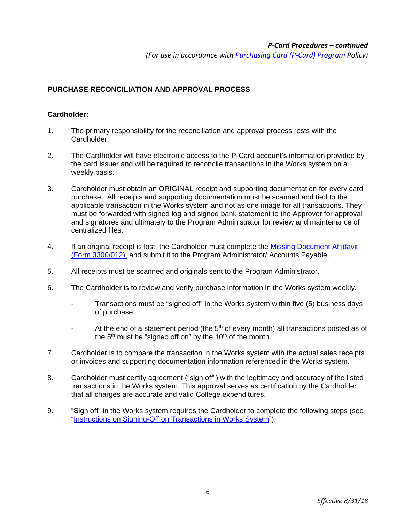*(For use in accordance wit[h Purchasing Card \(P-Card\) Program](http://docushare3.dcc.edu/docushare/dsweb/Get/Document-3785/3300-3+for+web+distribution.pdf) Policy)*

# **PURCHASE RECONCILIATION AND APPROVAL PROCESS**

### **Cardholder:**

- 1. The primary responsibility for the reconciliation and approval process rests with the Cardholder.
- 2. The Cardholder will have electronic access to the P-Card account's information provided by the card issuer and will be required to reconcile transactions in the Works system on a weekly basis.
- 3. Cardholder must obtain an ORIGINAL receipt and supporting documentation for every card purchase. All receipts and supporting documentation must be scanned and tied to the applicable transaction in the Works system and not as one image for all transactions. They must be forwarded with signed log and signed bank statement to the Approver for approval and signatures and ultimately to the Program Administrator for review and maintenance of centralized files.
- 4. If an original receipt is lost, the Cardholder must complete the Missing Document Affidavit [\(Form 3300/012\)](http://docushare3.dcc.edu/docushare/dsweb/Get/Document-3778/3300-012+Purchasing+Card+Missing+Document+Affidavit+Form.doc) and submit it to the Program Administrator/ Accounts Payable.
- 5. All receipts must be scanned and originals sent to the Program Administrator.
- 6. The Cardholder is to review and verify purchase information in the Works system weekly.
	- Transactions must be "signed off" in the Works system within five (5) business days of purchase.
	- At the end of a statement period (the  $5<sup>th</sup>$  of every month) all transactions posted as of the  $5<sup>th</sup>$  must be "signed off on" by the  $10<sup>th</sup>$  of the month.
- 7. Cardholder is to compare the transaction in the Works system with the actual sales receipts or invoices and supporting documentation information referenced in the Works system.
- 8. Cardholder must certify agreement ("sign off") with the legitimacy and accuracy of the listed transactions in the Works system. This approval serves as certification by the Cardholder that all charges are accurate and valid College expenditures.
- 9. "Sign off" in the Works system requires the Cardholder to complete the following steps (see ["Instructions on Signing-Off on Transactions in Works System"](http://docushare3.dcc.edu/docushare/dsweb/Get/Document-4129/3300-2+Purchasing+Card+Instructions+for+Signing+Off+on+Transactions+in+WORKS+Program.pdf)):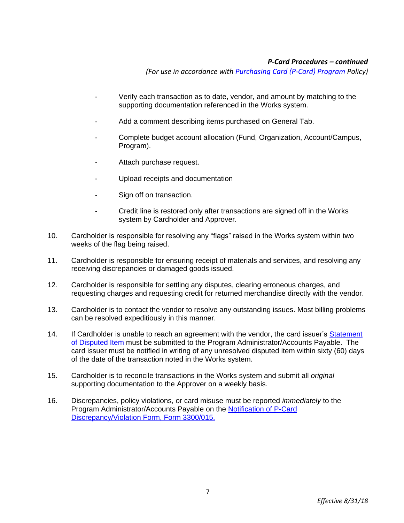*(For use in accordance wit[h Purchasing Card \(P-Card\) Program](http://docushare3.dcc.edu/docushare/dsweb/Get/Document-3785/3300-3+for+web+distribution.pdf) Policy)*

- Verify each transaction as to date, vendor, and amount by matching to the supporting documentation referenced in the Works system.
- Add a comment describing items purchased on General Tab.
- Complete budget account allocation (Fund, Organization, Account/Campus, Program).
- Attach purchase request.
- Upload receipts and documentation
- Sign off on transaction.
- Credit line is restored only after transactions are signed off in the Works system by Cardholder and Approver.
- 10. Cardholder is responsible for resolving any "flags" raised in the Works system within two weeks of the flag being raised.
- 11. Cardholder is responsible for ensuring receipt of materials and services, and resolving any receiving discrepancies or damaged goods issued.
- 12. Cardholder is responsible for settling any disputes, clearing erroneous charges, and requesting charges and requesting credit for returned merchandise directly with the vendor.
- 13. Cardholder is to contact the vendor to resolve any outstanding issues. Most billing problems can be resolved expeditiously in this manner.
- 14. If Cardholder is unable to reach an agreement with the vendor, the card issuer's Statement [of Disputed Item](http://docushare3.dcc.edu/docushare/dsweb/Get/Document-3784/3300-2+Statement+of+Disputed+Item.pdf) must be submitted to the Program Administrator/Accounts Payable. The card issuer must be notified in writing of any unresolved disputed item within sixty (60) days of the date of the transaction noted in the Works system.
- 15. Cardholder is to reconcile transactions in the Works system and submit all *original* supporting documentation to the Approver on a weekly basis.
- 16. Discrepancies, policy violations, or card misuse must be reported *immediately* to the Program Administrator/Accounts Payable on the [Notification of P-Card](http://docushare3.dcc.edu/docushare/dsweb/Get/Document-3782/3300-015+Purchasing+Card+Notification+of+Discrepancy-+Violation+Form.doc)  [Discrepancy/Violation Form, Form 3300/015.](http://docushare3.dcc.edu/docushare/dsweb/Get/Document-3782/3300-015+Purchasing+Card+Notification+of+Discrepancy-+Violation+Form.doc)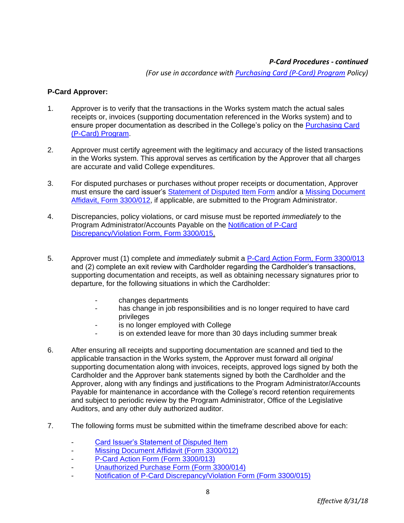*(For use in accordance wit[h Purchasing Card \(P-Card\) Program](http://docushare3.dcc.edu/docushare/dsweb/Get/Document-3785/3300-3+for+web+distribution.pdf) Policy)*

### **P-Card Approver:**

- 1. Approver is to verify that the transactions in the Works system match the actual sales receipts or, invoices (supporting documentation referenced in the Works system) and to ensure proper documentation as described in the College's policy on the [Purchasing Card](http://docushare3.dcc.edu/docushare/dsweb/Get/Document-3785/3300-3+for+web+distribution.pdf)  [\(P-Card\) Program.](http://docushare3.dcc.edu/docushare/dsweb/Get/Document-3785/3300-3+for+web+distribution.pdf)
- 2. Approver must certify agreement with the legitimacy and accuracy of the listed transactions in the Works system. This approval serves as certification by the Approver that all charges are accurate and valid College expenditures.
- 3. For disputed purchases or purchases without proper receipts or documentation, Approver must ensure the card issuer's **Statement of Disputed Item Form** and/or a Missing Document [Affidavit, Form 3300/012,](http://docushare3.dcc.edu/docushare/dsweb/Get/Document-3778/3300-012+Purchasing+Card+Missing+Document+Affidavit+Form.doc) if applicable, are submitted to the Program Administrator.
- 4. Discrepancies, policy violations, or card misuse must be reported *immediately* to the Program Administrator/Accounts Payable on the [Notification of P-Card](http://docushare3.dcc.edu/docushare/dsweb/Get/Document-3782/3300-015+Purchasing+Card+Notification+of+Discrepancy-+Violation+Form.doc)  [Discrepancy/Violation Form, Form 3300/015.](http://docushare3.dcc.edu/docushare/dsweb/Get/Document-3782/3300-015+Purchasing+Card+Notification+of+Discrepancy-+Violation+Form.doc)
- 5. Approver must (1) complete and *immediately* submit a [P-Card Action Form, Form 3300/013](http://docushare3.dcc.edu/docushare/dsweb/Get/Document-3779/3300-013+Purchasing+Card+Action+Form.doc) and (2) complete an exit review with Cardholder regarding the Cardholder's transactions, supporting documentation and receipts, as well as obtaining necessary signatures prior to departure, for the following situations in which the Cardholder:
	- changes departments
	- has change in job responsibilities and is no longer required to have card privileges
	- is no longer employed with College
	- is on extended leave for more than 30 days including summer break
- 6. After ensuring all receipts and supporting documentation are scanned and tied to the applicable transaction in the Works system, the Approver must forward all *original*  supporting documentation along with invoices, receipts, approved logs signed by both the Cardholder and the Approver bank statements signed by both the Cardholder and the Approver, along with any findings and justifications to the Program Administrator/Accounts Payable for maintenance in accordance with the College's record retention requirements and subject to periodic review by the Program Administrator, Office of the Legislative Auditors, and any other duly authorized auditor.
- 7. The following forms must be submitted within the timeframe described above for each:
	- [Card Issuer's Statement of Disputed Item](http://docushare3.dcc.edu/docushare/dsweb/Get/Document-3784/3300-2+Statement+of+Disputed+Item.pdf)
	- [Missing Document Affidavit \(Form 3300/012\)](http://docushare3.dcc.edu/docushare/dsweb/Get/Document-3778/3300-012+Purchasing+Card+Missing+Document+Affidavit+Form.doc)
	- [P-Card Action Form \(Form 3300/013\)](http://docushare3.dcc.edu/docushare/dsweb/Get/Document-3779/3300-013+Purchasing+Card+Action+Form.doc)
	- [Unauthorized Purchase Form \(Form 3300/014\)](http://docushare3.dcc.edu/docushare/dsweb/Get/Document-3780/3300-014+Purchasing+Card+Unauthorized+Purchase+Form.doc)
	- [Notification of P-Card Discrepancy/Violation Form \(Form 3300/015\)](http://docushare3.dcc.edu/docushare/dsweb/Get/Document-3782/3300-015+Purchasing+Card+Notification+of+Discrepancy-+Violation+Form.doc)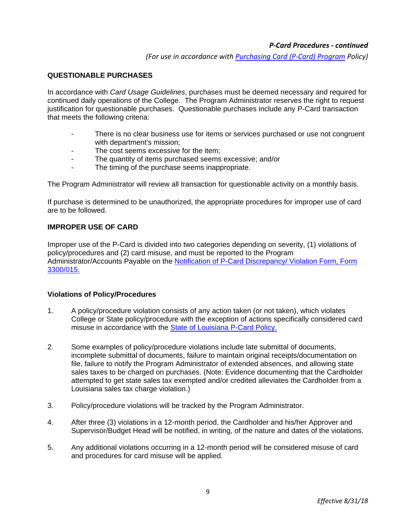*(For use in accordance wit[h Purchasing Card \(P-Card\) Program](http://docushare3.dcc.edu/docushare/dsweb/Get/Document-3785/3300-3+for+web+distribution.pdf) Policy)*

## **QUESTIONABLE PURCHASES**

In accordance with *Card Usage Guidelines*, purchases must be deemed necessary and required for continued daily operations of the College. The Program Administrator reserves the right to request justification for questionable purchases. Questionable purchases include any P-Card transaction that meets the following criteria:

- There is no clear business use for items or services purchased or use not congruent with department's mission;
- The cost seems excessive for the item;
- The quantity of items purchased seems excessive; and/or
- The timing of the purchase seems inappropriate.

The Program Administrator will review all transaction for questionable activity on a monthly basis.

If purchase is determined to be unauthorized, the appropriate procedures for improper use of card are to be followed.

## **IMPROPER USE OF CARD**

Improper use of the P-Card is divided into two categories depending on severity, (1) violations of policy/procedures and (2) card misuse, and must be reported to the Program Administrator/Accounts Payable on the Notification of P-Card Discrepancy/ Violation Form, Form [3300/015.](http://docushare3.dcc.edu/docushare/dsweb/Get/Document-3782/3300-015+Purchasing+Card+Notification+of+Discrepancy-+Violation+Form.doc)

### **Violations of Policy/Procedures**

- 1. A policy/procedure violation consists of any action taken (or not taken), which violates College or State policy/procedure with the exception of actions specifically considered card misuse in accordance with the [State of Louisiana P-Card Policy.](http://www.doa.la.gov/Pages/osp/travel/lacartepcard.aspx)
- 2. Some examples of policy/procedure violations include late submittal of documents, incomplete submittal of documents, failure to maintain original receipts/documentation on file, failure to notify the Program Administrator of extended absences, and allowing state sales taxes to be charged on purchases. (Note: Evidence documenting that the Cardholder attempted to get state sales tax exempted and/or credited alleviates the Cardholder from a Louisiana sales tax charge violation.)
- 3. Policy/procedure violations will be tracked by the Program Administrator.
- 4. After three (3) violations in a 12-month period, the Cardholder and his/her Approver and Supervisor/Budget Head will be notified, in writing, of the nature and dates of the violations.
- 5. Any additional violations occurring in a 12-month period will be considered misuse of card and procedures for card misuse will be applied.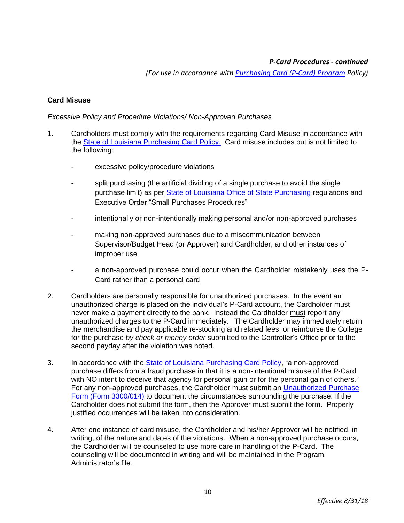*(For use in accordance wit[h Purchasing Card \(P-Card\) Program](http://docushare3.dcc.edu/docushare/dsweb/Get/Document-3785/3300-3+for+web+distribution.pdf) Policy)*

## **Card Misuse**

#### *Excessive Policy and Procedure Violations/ Non-Approved Purchases*

- 1. Cardholders must comply with the requirements regarding Card Misuse in accordance with the [State of Louisiana Purchasing Card Policy.](http://www.doa.la.gov/Pages/osp/travel/lacartepcard.aspx) Card misuse includes but is not limited to the following:
	- excessive policy/procedure violations
	- split purchasing (the artificial dividing of a single purchase to avoid the single purchase limit) as per [State of Louisiana Office of State Purchasing](http://www.doa.la.gov/Pages/osp/Index.aspx) regulations and Executive Order "Small Purchases Procedures"
	- intentionally or non-intentionally making personal and/or non-approved purchases
	- making non-approved purchases due to a miscommunication between Supervisor/Budget Head (or Approver) and Cardholder, and other instances of improper use
	- a non-approved purchase could occur when the Cardholder mistakenly uses the P-Card rather than a personal card
- 2. Cardholders are personally responsible for unauthorized purchases. In the event an unauthorized charge is placed on the individual's P-Card account, the Cardholder must never make a payment directly to the bank. Instead the Cardholder must report any unauthorized charges to the P-Card immediately. The Cardholder may immediately return the merchandise and pay applicable re-stocking and related fees, or reimburse the College for the purchase *by check or money order* submitted to the Controller's Office prior to the second payday after the violation was noted.
- 3. In accordance with the **State of Louisiana Purchasing Card Policy**, "a non-approved purchase differs from a fraud purchase in that it is a non-intentional misuse of the P-Card with NO intent to deceive that agency for personal gain or for the personal gain of others." For any non-approved purchases, the Cardholder must submit an Unauthorized Purchase Form [\(Form 3300/014\)](http://docushare3.dcc.edu/docushare/dsweb/Get/Document-3780/3300-014+Purchasing+Card+Unauthorized+Purchase+Form.doc) to document the circumstances surrounding the purchase. If the Cardholder does not submit the form, then the Approver must submit the form. Properly justified occurrences will be taken into consideration.
- 4. After one instance of card misuse, the Cardholder and his/her Approver will be notified, in writing, of the nature and dates of the violations. When a non-approved purchase occurs, the Cardholder will be counseled to use more care in handling of the P-Card. The counseling will be documented in writing and will be maintained in the Program Administrator's file.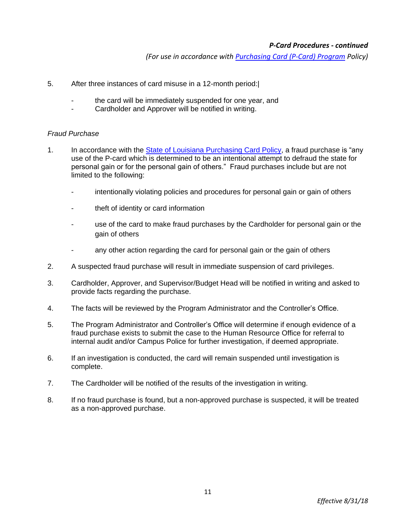*(For use in accordance wit[h Purchasing Card \(P-Card\) Program](http://docushare3.dcc.edu/docushare/dsweb/Get/Document-3785/3300-3+for+web+distribution.pdf) Policy)*

- 5. After three instances of card misuse in a 12-month period:|
	- the card will be immediately suspended for one year, and
	- Cardholder and Approver will be notified in writing.

#### *Fraud Purchase*

- 1. In accordance with the [State of Louisiana Purchasing Card Policy,](http://www.doa.la.gov/Pages/osp/travel/lacartepcard.aspx) a fraud purchase is "any use of the P-card which is determined to be an intentional attempt to defraud the state for personal gain or for the personal gain of others." Fraud purchases include but are not limited to the following:
	- intentionally violating policies and procedures for personal gain or gain of others
	- theft of identity or card information
	- use of the card to make fraud purchases by the Cardholder for personal gain or the gain of others
	- any other action regarding the card for personal gain or the gain of others
- 2. A suspected fraud purchase will result in immediate suspension of card privileges.
- 3. Cardholder, Approver, and Supervisor/Budget Head will be notified in writing and asked to provide facts regarding the purchase.
- 4. The facts will be reviewed by the Program Administrator and the Controller's Office.
- 5. The Program Administrator and Controller's Office will determine if enough evidence of a fraud purchase exists to submit the case to the Human Resource Office for referral to internal audit and/or Campus Police for further investigation, if deemed appropriate.
- 6. If an investigation is conducted, the card will remain suspended until investigation is complete.
- 7. The Cardholder will be notified of the results of the investigation in writing.
- 8. If no fraud purchase is found, but a non-approved purchase is suspected, it will be treated as a non-approved purchase.